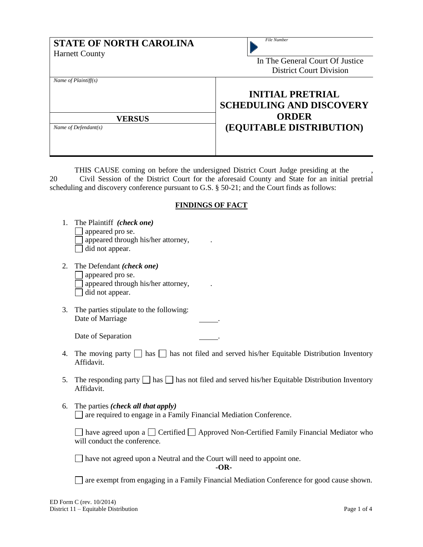| <b>STATE OF NORTH CAROLINA</b><br><b>Harnett County</b>             | <b>File Number</b><br>In The General Court Of Justice<br><b>District Court Division</b>                |
|---------------------------------------------------------------------|--------------------------------------------------------------------------------------------------------|
| Name of $Plaintiff(s)$<br><b>VERSUS</b><br>Name of Defendant( $s$ ) | <b>INITIAL PRETRIAL</b><br><b>SCHEDULING AND DISCOVERY</b><br><b>ORDER</b><br>(EQUITABLE DISTRIBUTION) |
|                                                                     | THIS CAUSE coming on before the undersigned District Court Judge presiding at the                      |

THIS CAUSE coming on before the undersigned District Court Judge presiding at the  $\qquad,$ 20 Civil Session of the District Court for the aforesaid County and State for an initial pretrial scheduling and discovery conference pursuant to G.S. § 50-21; and the Court finds as follows:

## **FINDINGS OF FACT**

| 1. The Plaintiff (check one)<br>$\Box$ appeared pro se.<br>$\Box$ appeared through his/her attorney,<br>$\Box$ did not appear. |  |
|--------------------------------------------------------------------------------------------------------------------------------|--|
| 2. The Defendant <i>(check one)</i>                                                                                            |  |

- q appeared pro se.  $\Box$  appeared through his/her attorney, did not appear.
- 3. The parties stipulate to the following: Date of Marriage

Date of Separation

- 4. The moving party  $\Box$  has  $\Box$  has not filed and served his/her Equitable Distribution Inventory Affidavit.
- 5. The responding party  $\Box$  has  $\Box$  has not filed and served his/her Equitable Distribution Inventory Affidavit.
- 6. The parties *(check all that apply)* are required to engage in a Family Financial Mediation Conference.

 $\Box$  have agreed upon a  $\Box$  Certified  $\Box$  Approved Non-Certified Family Financial Mediator who will conduct the conference.

have not agreed upon a Neutral and the Court will need to appoint one.

**-OR-**

are exempt from engaging in a Family Financial Mediation Conference for good cause shown.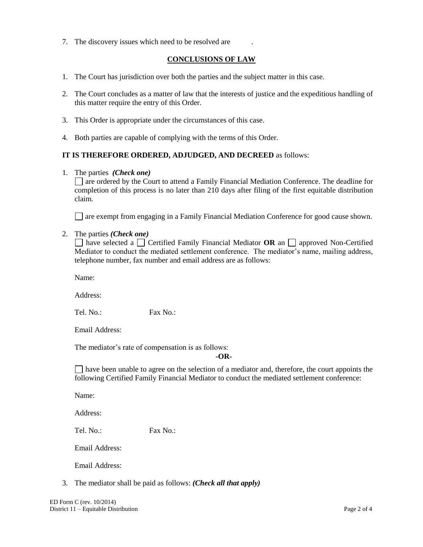7. The discovery issues which need to be resolved are .

## **CONCLUSIONS OF LAW**

- 1. The Court has jurisdiction over both the parties and the subject matter in this case.
- 2. The Court concludes as a matter of law that the interests of justice and the expeditious handling of this matter require the entry of this Order.
- 3. This Order is appropriate under the circumstances of this case.
- 4. Both parties are capable of complying with the terms of this Order.

## **IT IS THEREFORE ORDERED, ADJUDGED, AND DECREED** as follows:

1. The parties *(Check one)*

are ordered by the Court to attend a Family Financial Mediation Conference. The deadline for completion of this process is no later than 210 days after filing of the first equitable distribution claim.

are exempt from engaging in a Family Financial Mediation Conference for good cause shown.

## 2. The parties *(Check one)*

 $\Box$  have selected a  $\Box$  Certified Family Financial Mediator **OR** an  $\Box$  approved Non-Certified Mediator to conduct the mediated settlement conference. The mediator's name, mailing address, telephone number, fax number and email address are as follows:

Name:

Address:

Tel. No.: Fax No.:

Email Address:

The mediator's rate of compensation is as follows:

**-OR-**

 $\Box$  have been unable to agree on the selection of a mediator and, therefore, the court appoints the following Certified Family Financial Mediator to conduct the mediated settlement conference:

Name:

Address:

Tel. No.: Fax No.:

Email Address:

Email Address:

3. The mediator shall be paid as follows: *(Check all that apply)*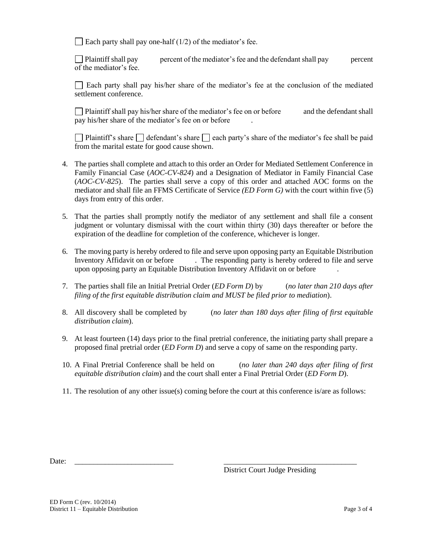$\Box$  Each party shall pay one-half (1/2) of the mediator's fee.

Plaintiff shall pay percent of the mediator's fee and the defendant shall pay percent of the mediator's fee.

Each party shall pay his/her share of the mediator's fee at the conclusion of the mediated settlement conference.

 $\Box$  Plaintiff shall pay his/her share of the mediator's fee on or before and the defendant shall pay his/her share of the mediator's fee on or before

Plaintiff's share  $\Box$  defendant's share  $\Box$  each party's share of the mediator's fee shall be paid from the marital estate for good cause shown.

- 4. The parties shall complete and attach to this order an Order for Mediated Settlement Conference in Family Financial Case (*AOC-CV-824*) and a Designation of Mediator in Family Financial Case (*AOC-CV-825*). The parties shall serve a copy of this order and attached AOC forms on the mediator and shall file an FFMS Certificate of Service *(ED Form G)* with the court within five (5) days from entry of this order.
- 5. That the parties shall promptly notify the mediator of any settlement and shall file a consent judgment or voluntary dismissal with the court within thirty (30) days thereafter or before the expiration of the deadline for completion of the conference, whichever is longer.
- 6. The moving party is hereby ordered to file and serve upon opposing party an Equitable Distribution Inventory Affidavit on or before . The responding party is hereby ordered to file and serve upon opposing party an Equitable Distribution Inventory Affidavit on or before .
- 7. The parties shall file an Initial Pretrial Order (*ED Form D*) by (*no later than 210 days after filing of the first equitable distribution claim and MUST be filed prior to mediation*).
- 8. All discovery shall be completed by (*no later than 180 days after filing of first equitable distribution claim*).
- 9. At least fourteen (14) days prior to the final pretrial conference, the initiating party shall prepare a proposed final pretrial order (*ED Form D*) and serve a copy of same on the responding party.
- 10. A Final Pretrial Conference shall be held on (*no later than 240 days after filing of first equitable distribution claim*) and the court shall enter a Final Pretrial Order (*ED Form D*).
- 11. The resolution of any other issue(s) coming before the court at this conference is/are as follows:

Date: \_\_\_\_\_\_\_\_\_\_\_\_\_\_\_\_\_\_\_\_\_\_\_\_\_\_ \_\_\_\_\_\_\_\_\_\_\_\_\_\_\_\_\_\_\_\_\_\_\_\_\_\_\_\_\_\_\_\_\_\_\_

District Court Judge Presiding